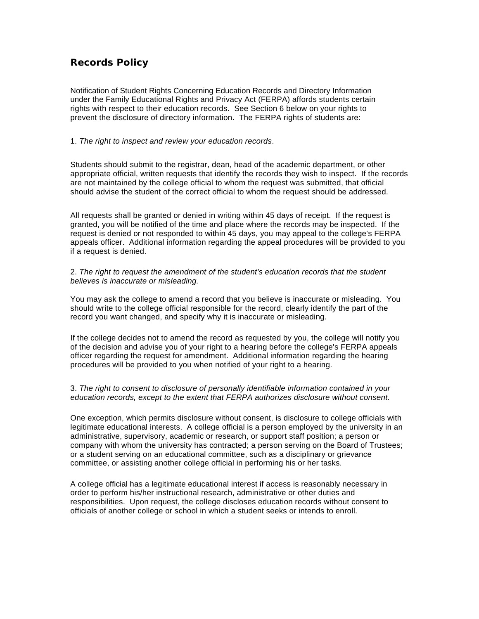## **Records Policy**

Notification of Student Rights Concerning Education Records and Directory Information under the Family Educational Rights and Privacy Act (FERPA) affords students certain rights with respect to their education records. See Section 6 below on your rights to prevent the disclosure of directory information. The FERPA rights of students are:

## 1. *The right to inspect and review your education records*.

Students should submit to the registrar, dean, head of the academic department, or other appropriate official, written requests that identify the records they wish to inspect. If the records are not maintained by the college official to whom the request was submitted, that official should advise the student of the correct official to whom the request should be addressed.

All requests shall be granted or denied in writing within 45 days of receipt. If the request is granted, you will be notified of the time and place where the records may be inspected. If the request is denied or not responded to within 45 days, you may appeal to the college's FERPA appeals officer. Additional information regarding the appeal procedures will be provided to you if a request is denied.

## 2. *The right to request the amendment of the student's education records that the student believes is inaccurate or misleading.*

You may ask the college to amend a record that you believe is inaccurate or misleading. You should write to the college official responsible for the record, clearly identify the part of the record you want changed, and specify why it is inaccurate or misleading.

If the college decides not to amend the record as requested by you, the college will notify you of the decision and advise you of your right to a hearing before the college's FERPA appeals officer regarding the request for amendment. Additional information regarding the hearing procedures will be provided to you when notified of your right to a hearing.

## 3. *The right to consent to disclosure of personally identifiable information contained in your education records, except to the extent that FERPA authorizes disclosure without consent.*

One exception, which permits disclosure without consent, is disclosure to college officials with legitimate educational interests. A college official is a person employed by the university in an administrative, supervisory, academic or research, or support staff position; a person or company with whom the university has contracted; a person serving on the Board of Trustees; or a student serving on an educational committee, such as a disciplinary or grievance committee, or assisting another college official in performing his or her tasks.

A college official has a legitimate educational interest if access is reasonably necessary in order to perform his/her instructional research, administrative or other duties and responsibilities. Upon request, the college discloses education records without consent to officials of another college or school in which a student seeks or intends to enroll.